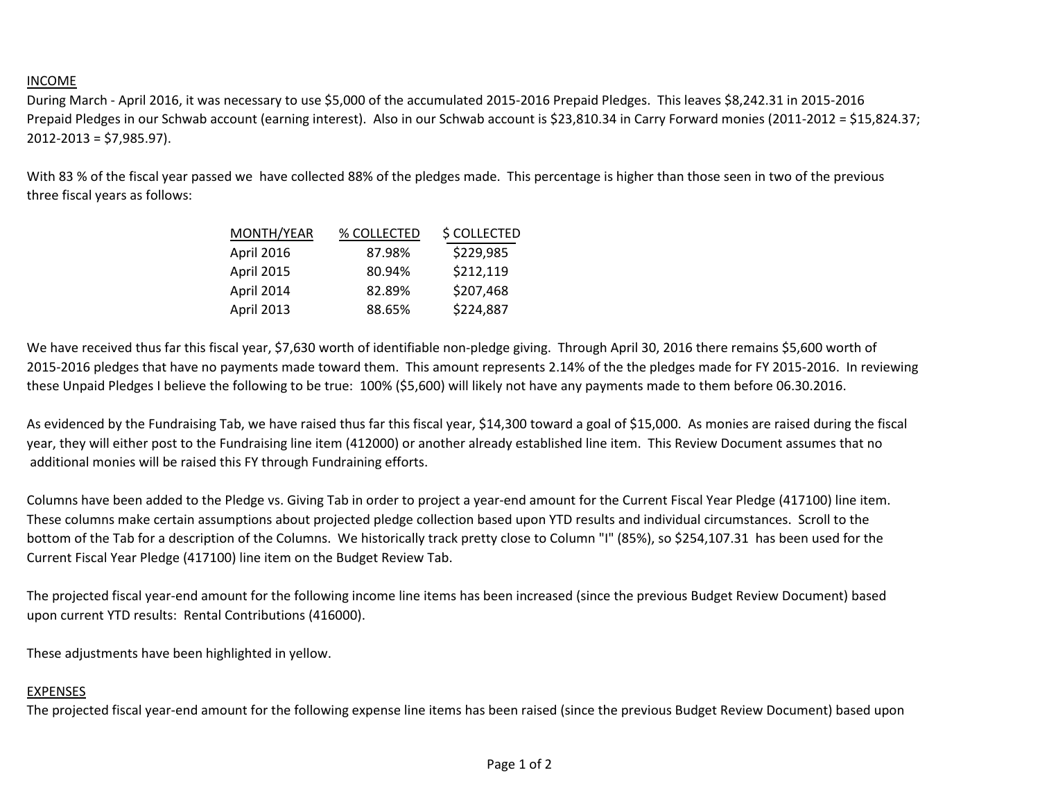## INCOME

During March - April 2016, it was necessary to use \$5,000 of the accumulated 2015-2016 Prepaid Pledges. This leaves \$8,242.31 in 2015-2016 Prepaid Pledges in our Schwab account (earning interest). Also in our Schwab account is \$23,810.34 in Carry Forward monies (2011-2012 = \$15,824.37; 2012-2013 = \$7,985.97).

With 83 % of the fiscal year passed we have collected 88% of the pledges made. This percentage is higher than those seen in two of the previous three fiscal years as follows:

| MONTH/YEAR | % COLLECTED | \$ COLLECTED |
|------------|-------------|--------------|
| April 2016 | 87.98%      | \$229,985    |
| April 2015 | 80.94%      | \$212,119    |
| April 2014 | 82.89%      | \$207,468    |
| April 2013 | 88.65%      | \$224,887    |

We have received thus far this fiscal year, \$7,630 worth of identifiable non-pledge giving. Through April 30, 2016 there remains \$5,600 worth of 2015-2016 pledges that have no payments made toward them. This amount represents 2.14% of the the pledges made for FY 2015-2016. In reviewing these Unpaid Pledges I believe the following to be true: 100% (\$5,600) will likely not have any payments made to them before 06.30.2016.

As evidenced by the Fundraising Tab, we have raised thus far this fiscal year, \$14,300 toward a goal of \$15,000. As monies are raised during the fiscal year, they will either post to the Fundraising line item (412000) or another already established line item. This Review Document assumes that no additional monies will be raised this FY through Fundraining efforts.

Columns have been added to the Pledge vs. Giving Tab in order to project a year-end amount for the Current Fiscal Year Pledge (417100) line item. These columns make certain assumptions about projected pledge collection based upon YTD results and individual circumstances. Scroll to the bottom of the Tab for a description of the Columns. We historically track pretty close to Column "I" (85%), so \$254,107.31 has been used for the Current Fiscal Year Pledge (417100) line item on the Budget Review Tab.

The projected fiscal year-end amount for the following income line items has been increased (since the previous Budget Review Document) based upon current YTD results: Rental Contributions (416000).

These adjustments have been highlighted in yellow.

## EXPENSES

The projected fiscal year-end amount for the following expense line items has been raised (since the previous Budget Review Document) based upon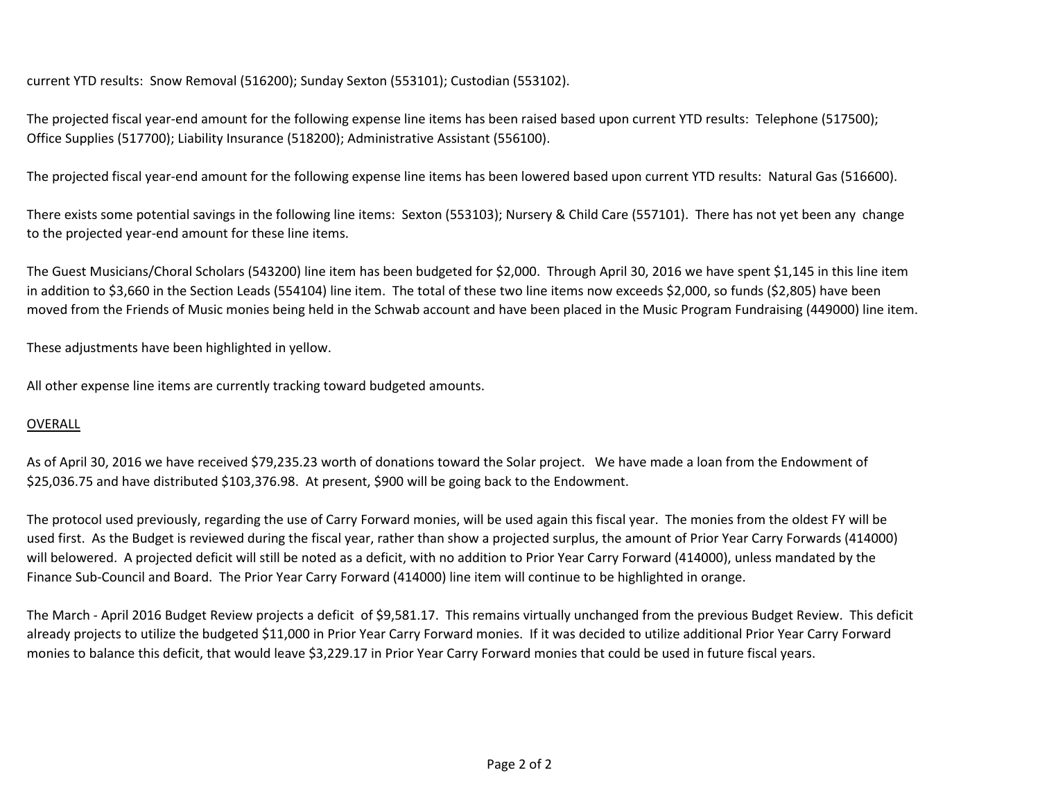current YTD results: Snow Removal (516200); Sunday Sexton (553101); Custodian (553102).

The projected fiscal year-end amount for the following expense line items has been raised based upon current YTD results: Telephone (517500); Office Supplies (517700); Liability Insurance (518200); Administrative Assistant (556100).

The projected fiscal year-end amount for the following expense line items has been lowered based upon current YTD results: Natural Gas (516600).

There exists some potential savings in the following line items: Sexton (553103); Nursery & Child Care (557101). There has not yet been any change to the projected year-end amount for these line items.

The Guest Musicians/Choral Scholars (543200) line item has been budgeted for \$2,000. Through April 30, 2016 we have spent \$1,145 in this line item in addition to \$3,660 in the Section Leads (554104) line item. The total of these two line items now exceeds \$2,000, so funds (\$2,805) have been moved from the Friends of Music monies being held in the Schwab account and have been placed in the Music Program Fundraising (449000) line item.

These adjustments have been highlighted in yellow.

All other expense line items are currently tracking toward budgeted amounts.

## OVERALL

As of April 30, 2016 we have received \$79,235.23 worth of donations toward the Solar project. We have made a loan from the Endowment of \$25,036.75 and have distributed \$103,376.98. At present, \$900 will be going back to the Endowment.

The protocol used previously, regarding the use of Carry Forward monies, will be used again this fiscal year. The monies from the oldest FY will be used first. As the Budget is reviewed during the fiscal year, rather than show a projected surplus, the amount of Prior Year Carry Forwards (414000) will belowered. A projected deficit will still be noted as a deficit, with no addition to Prior Year Carry Forward (414000), unless mandated by the Finance Sub-Council and Board. The Prior Year Carry Forward (414000) line item will continue to be highlighted in orange.

The March - April 2016 Budget Review projects a deficit of \$9,581.17. This remains virtually unchanged from the previous Budget Review. This deficit already projects to utilize the budgeted \$11,000 in Prior Year Carry Forward monies. If it was decided to utilize additional Prior Year Carry Forward monies to balance this deficit, that would leave \$3,229.17 in Prior Year Carry Forward monies that could be used in future fiscal years.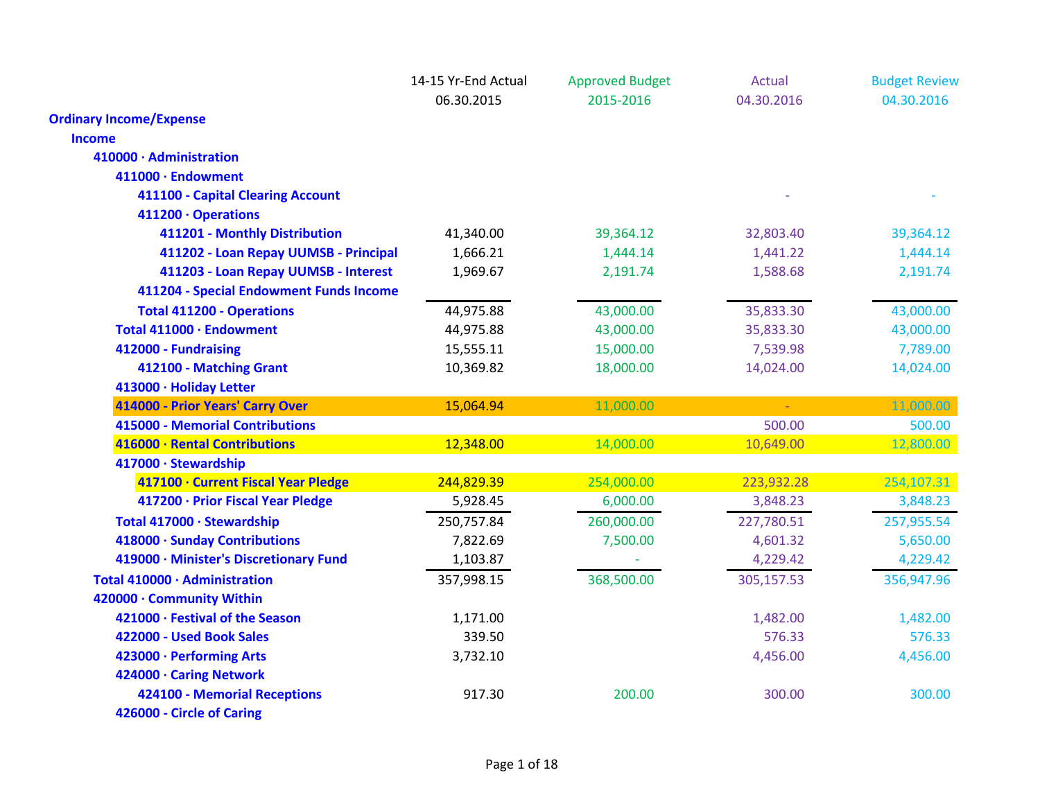|                                         | 14-15 Yr-End Actual | <b>Approved Budget</b> | <b>Actual</b> | <b>Budget Review</b> |
|-----------------------------------------|---------------------|------------------------|---------------|----------------------|
|                                         | 06.30.2015          | 2015-2016              | 04.30.2016    | 04.30.2016           |
| <b>Ordinary Income/Expense</b>          |                     |                        |               |                      |
| <b>Income</b>                           |                     |                        |               |                      |
| 410000 · Administration                 |                     |                        |               |                      |
| 411000 · Endowment                      |                     |                        |               |                      |
| 411100 - Capital Clearing Account       |                     |                        |               |                      |
| 411200 · Operations                     |                     |                        |               |                      |
| 411201 - Monthly Distribution           | 41,340.00           | 39,364.12              | 32,803.40     | 39,364.12            |
| 411202 - Loan Repay UUMSB - Principal   | 1,666.21            | 1,444.14               | 1,441.22      | 1,444.14             |
| 411203 - Loan Repay UUMSB - Interest    | 1,969.67            | 2,191.74               | 1,588.68      | 2,191.74             |
| 411204 - Special Endowment Funds Income |                     |                        |               |                      |
| <b>Total 411200 - Operations</b>        | 44,975.88           | 43,000.00              | 35,833.30     | 43,000.00            |
| Total 411000 · Endowment                | 44,975.88           | 43,000.00              | 35,833.30     | 43,000.00            |
| 412000 - Fundraising                    | 15,555.11           | 15,000.00              | 7,539.98      | 7,789.00             |
| 412100 - Matching Grant                 | 10,369.82           | 18,000.00              | 14,024.00     | 14,024.00            |
| 413000 · Holiday Letter                 |                     |                        |               |                      |
| 414000 - Prior Years' Carry Over        | 15,064.94           | 11,000.00              | $\omega$ .    | 11,000.00            |
| <b>415000 - Memorial Contributions</b>  |                     |                        | 500.00        | 500.00               |
| 416000 · Rental Contributions           | 12,348.00           | 14,000.00              | 10,649.00     | 12,800.00            |
| 417000 · Stewardship                    |                     |                        |               |                      |
| 417100 · Current Fiscal Year Pledge     | 244,829.39          | 254,000.00             | 223,932.28    | 254,107.31           |
| 417200 · Prior Fiscal Year Pledge       | 5,928.45            | 6,000.00               | 3,848.23      | 3,848.23             |
| Total 417000 · Stewardship              | 250,757.84          | 260,000.00             | 227,780.51    | 257,955.54           |
| 418000 · Sunday Contributions           | 7,822.69            | 7,500.00               | 4,601.32      | 5,650.00             |
| 419000 · Minister's Discretionary Fund  | 1,103.87            |                        | 4,229.42      | 4,229.42             |
| Total 410000 · Administration           | 357,998.15          | 368,500.00             | 305,157.53    | 356,947.96           |
| 420000 · Community Within               |                     |                        |               |                      |
| 421000 · Festival of the Season         | 1,171.00            |                        | 1,482.00      | 1,482.00             |
| 422000 - Used Book Sales                | 339.50              |                        | 576.33        | 576.33               |
| 423000 · Performing Arts                | 3,732.10            |                        | 4,456.00      | 4,456.00             |
| 424000 · Caring Network                 |                     |                        |               |                      |
| 424100 - Memorial Receptions            | 917.30              | 200.00                 | 300.00        | 300.00               |
| 426000 - Circle of Caring               |                     |                        |               |                      |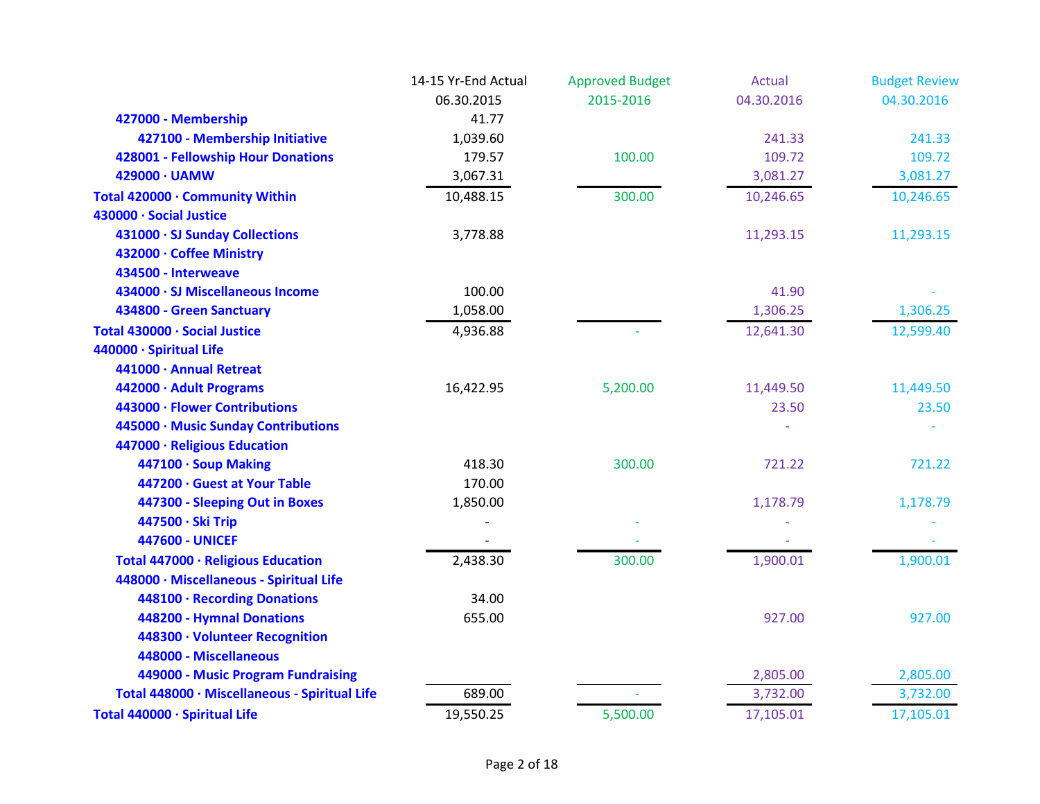|                                               | 14-15 Yr-End Actual | <b>Approved Budget</b> | Actual     | <b>Budget Review</b> |
|-----------------------------------------------|---------------------|------------------------|------------|----------------------|
|                                               | 06.30.2015          | 2015-2016              | 04.30.2016 | 04.30.2016           |
| 427000 - Membership                           | 41.77               |                        |            |                      |
| 427100 - Membership Initiative                | 1,039.60            |                        | 241.33     | 241.33               |
| 428001 - Fellowship Hour Donations            | 179.57              | 100.00                 | 109.72     | 109.72               |
| 429000 · UAMW                                 | 3,067.31            |                        | 3,081.27   | 3,081.27             |
| Total 420000 · Community Within               | 10,488.15           | 300.00                 | 10,246.65  | 10,246.65            |
| 430000 · Social Justice                       |                     |                        |            |                      |
| 431000 · SJ Sunday Collections                | 3,778.88            |                        | 11,293.15  | 11,293.15            |
| 432000 · Coffee Ministry                      |                     |                        |            |                      |
| 434500 - Interweave                           |                     |                        |            |                      |
| 434000 · SJ Miscellaneous Income              | 100.00              |                        | 41.90      |                      |
| 434800 - Green Sanctuary                      | 1,058.00            |                        | 1,306.25   | 1,306.25             |
| Total 430000 · Social Justice                 | 4,936.88            |                        | 12,641.30  | 12,599.40            |
| 440000 · Spiritual Life                       |                     |                        |            |                      |
| 441000 · Annual Retreat                       |                     |                        |            |                      |
| 442000 · Adult Programs                       | 16,422.95           | 5,200.00               | 11,449.50  | 11,449.50            |
| 443000 · Flower Contributions                 |                     |                        | 23.50      | 23.50                |
| 445000 · Music Sunday Contributions           |                     |                        |            |                      |
| 447000 · Religious Education                  |                     |                        |            |                      |
| 447100 · Soup Making                          | 418.30              | 300.00                 | 721.22     | 721.22               |
| 447200 · Guest at Your Table                  | 170.00              |                        |            |                      |
| 447300 - Sleeping Out in Boxes                | 1,850.00            |                        | 1,178.79   | 1,178.79             |
| 447500 · Ski Trip                             |                     |                        |            |                      |
| <b>447600 - UNICEF</b>                        |                     |                        |            |                      |
| Total 447000 · Religious Education            | 2,438.30            | 300.00                 | 1,900.01   | 1,900.01             |
| 448000 · Miscellaneous - Spiritual Life       |                     |                        |            |                      |
| 448100 · Recording Donations                  | 34.00               |                        |            |                      |
| 448200 - Hymnal Donations                     | 655.00              |                        | 927.00     | 927.00               |
| 448300 · Volunteer Recognition                |                     |                        |            |                      |
| 448000 - Miscellaneous                        |                     |                        |            |                      |
| 449000 - Music Program Fundraising            |                     |                        | 2,805.00   | 2,805.00             |
| Total 448000 · Miscellaneous - Spiritual Life | 689.00              | $\omega$               | 3,732.00   | 3,732.00             |
| Total 440000 · Spiritual Life                 | 19,550.25           | 5,500.00               | 17,105.01  | 17,105.01            |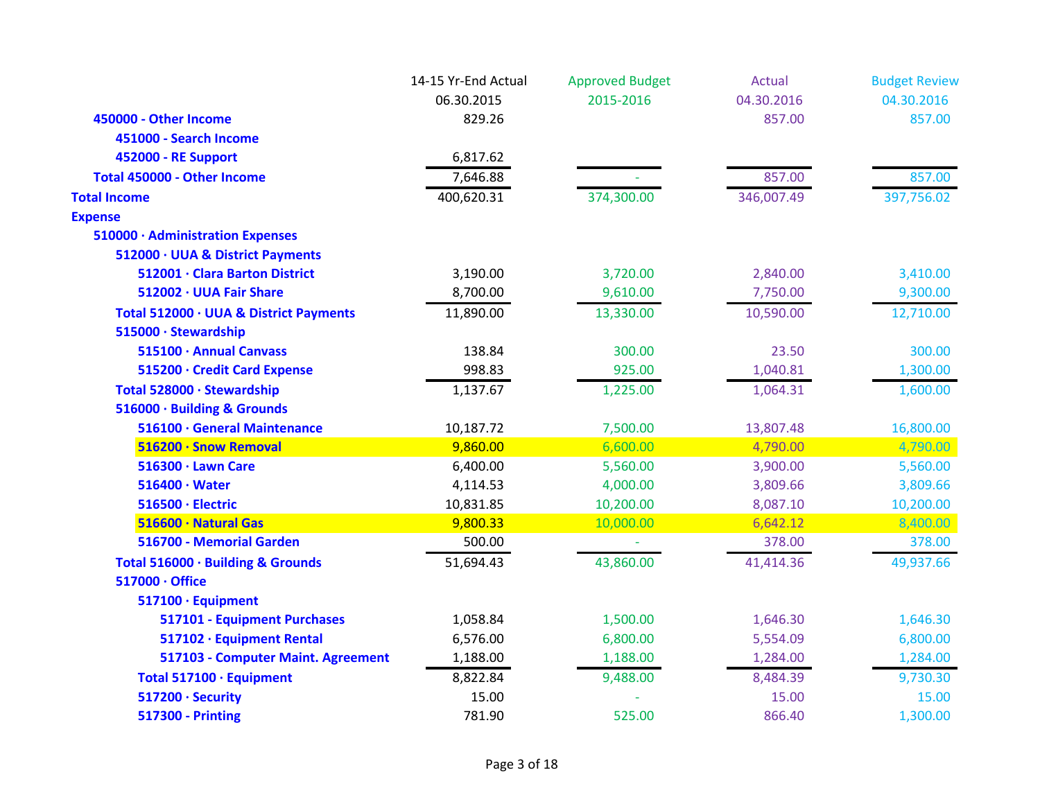|                                        | 14-15 Yr-End Actual | <b>Approved Budget</b> | Actual     | <b>Budget Review</b> |
|----------------------------------------|---------------------|------------------------|------------|----------------------|
|                                        | 06.30.2015          | 2015-2016              | 04.30.2016 | 04.30.2016           |
| 450000 - Other Income                  | 829.26              |                        | 857.00     | 857.00               |
| 451000 - Search Income                 |                     |                        |            |                      |
| 452000 - RE Support                    | 6,817.62            |                        |            |                      |
| Total 450000 - Other Income            | 7,646.88            |                        | 857.00     | 857.00               |
| <b>Total Income</b>                    | 400,620.31          | 374,300.00             | 346,007.49 | 397,756.02           |
| <b>Expense</b>                         |                     |                        |            |                      |
| 510000 · Administration Expenses       |                     |                        |            |                      |
| 512000 · UUA & District Payments       |                     |                        |            |                      |
| 512001 · Clara Barton District         | 3,190.00            | 3,720.00               | 2,840.00   | 3,410.00             |
| 512002 · UUA Fair Share                | 8,700.00            | 9,610.00               | 7,750.00   | 9,300.00             |
| Total 512000 · UUA & District Payments | 11,890.00           | 13,330.00              | 10,590.00  | 12,710.00            |
| 515000 · Stewardship                   |                     |                        |            |                      |
| 515100 · Annual Canvass                | 138.84              | 300.00                 | 23.50      | 300.00               |
| 515200 · Credit Card Expense           | 998.83              | 925.00                 | 1,040.81   | 1,300.00             |
| Total 528000 · Stewardship             | 1,137.67            | 1,225.00               | 1,064.31   | 1,600.00             |
| 516000 · Building & Grounds            |                     |                        |            |                      |
| 516100 · General Maintenance           | 10,187.72           | 7,500.00               | 13,807.48  | 16,800.00            |
| 516200 · Snow Removal                  | 9,860.00            | 6,600.00               | 4,790.00   | 4,790.00             |
| 516300 · Lawn Care                     | 6,400.00            | 5,560.00               | 3,900.00   | 5,560.00             |
| 516400 · Water                         | 4,114.53            | 4,000.00               | 3,809.66   | 3,809.66             |
| 516500 · Electric                      | 10,831.85           | 10,200.00              | 8,087.10   | 10,200.00            |
| 516600 · Natural Gas                   | 9,800.33            | 10,000.00              | 6,642.12   | 8,400.00             |
| 516700 - Memorial Garden               | 500.00              |                        | 378.00     | 378.00               |
| Total 516000 · Building & Grounds      | 51,694.43           | 43,860.00              | 41,414.36  | 49,937.66            |
| 517000 · Office                        |                     |                        |            |                      |
| 517100 · Equipment                     |                     |                        |            |                      |
| 517101 - Equipment Purchases           | 1,058.84            | 1,500.00               | 1,646.30   | 1,646.30             |
| 517102 · Equipment Rental              | 6,576.00            | 6,800.00               | 5,554.09   | 6,800.00             |
| 517103 - Computer Maint. Agreement     | 1,188.00            | 1,188.00               | 1,284.00   | 1,284.00             |
| Total 517100 · Equipment               | 8,822.84            | 9,488.00               | 8,484.39   | 9,730.30             |
| 517200 · Security                      | 15.00               |                        | 15.00      | 15.00                |
| <b>517300 - Printing</b>               | 781.90              | 525.00                 | 866.40     | 1,300.00             |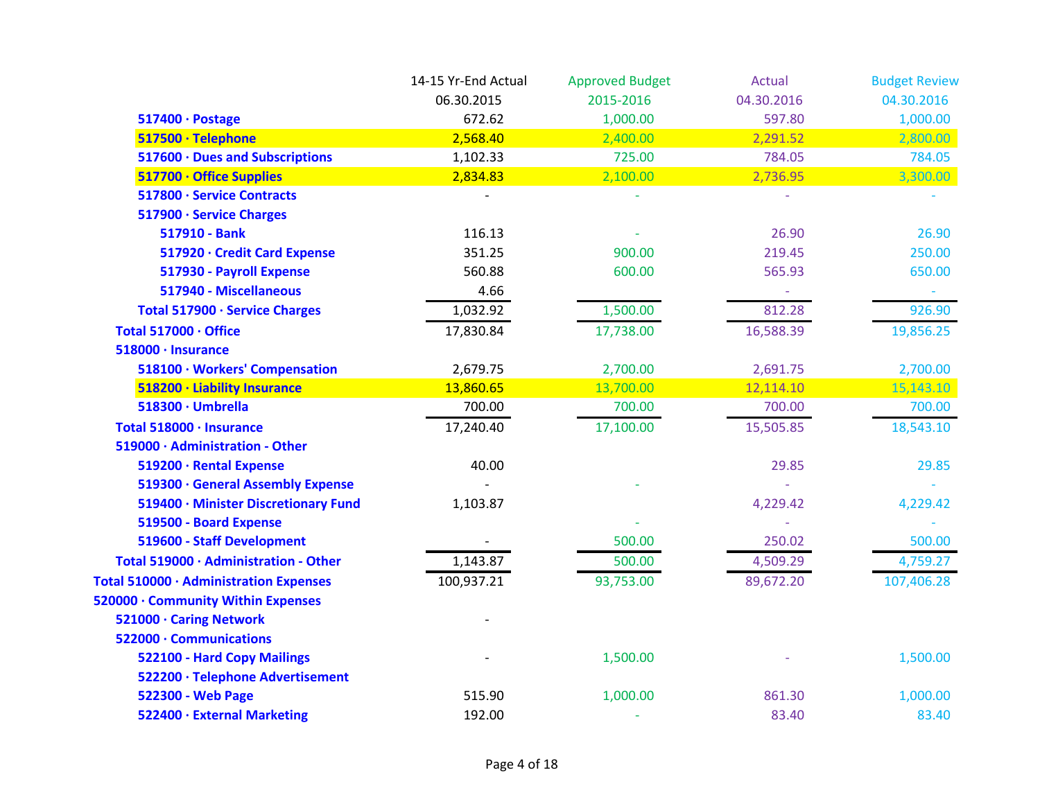|                                        | 14-15 Yr-End Actual | <b>Approved Budget</b> | <b>Actual</b> | <b>Budget Review</b> |
|----------------------------------------|---------------------|------------------------|---------------|----------------------|
|                                        | 06.30.2015          | 2015-2016              | 04.30.2016    | 04.30.2016           |
| 517400 · Postage                       | 672.62              | 1,000.00               | 597.80        | 1,000.00             |
| 517500 · Telephone                     | 2,568.40            | 2,400.00               | 2,291.52      | 2,800.00             |
| 517600 · Dues and Subscriptions        | 1,102.33            | 725.00                 | 784.05        | 784.05               |
| 517700 · Office Supplies               | 2,834.83            | 2,100.00               | 2,736.95      | 3,300.00             |
| 517800 · Service Contracts             |                     |                        |               |                      |
| 517900 · Service Charges               |                     |                        |               |                      |
| 517910 - Bank                          | 116.13              |                        | 26.90         | 26.90                |
| 517920 · Credit Card Expense           | 351.25              | 900.00                 | 219.45        | 250.00               |
| 517930 - Payroll Expense               | 560.88              | 600.00                 | 565.93        | 650.00               |
| 517940 - Miscellaneous                 | 4.66                |                        |               |                      |
| Total 517900 · Service Charges         | 1,032.92            | 1,500.00               | 812.28        | 926.90               |
| Total 517000 · Office                  | 17,830.84           | 17,738.00              | 16,588.39     | 19,856.25            |
| 518000 · Insurance                     |                     |                        |               |                      |
| 518100 · Workers' Compensation         | 2,679.75            | 2,700.00               | 2,691.75      | 2,700.00             |
| 518200 · Liability Insurance           | 13,860.65           | 13,700.00              | 12,114.10     | 15,143.10            |
| 518300 · Umbrella                      | 700.00              | 700.00                 | 700.00        | 700.00               |
| Total 518000 · Insurance               | 17,240.40           | 17,100.00              | 15,505.85     | 18,543.10            |
| 519000 · Administration - Other        |                     |                        |               |                      |
| 519200 · Rental Expense                | 40.00               |                        | 29.85         | 29.85                |
| 519300 · General Assembly Expense      |                     |                        |               |                      |
| 519400 · Minister Discretionary Fund   | 1,103.87            |                        | 4,229.42      | 4,229.42             |
| 519500 - Board Expense                 |                     |                        |               |                      |
| 519600 - Staff Development             |                     | 500.00                 | 250.02        | 500.00               |
| Total 519000 · Administration - Other  | 1,143.87            | 500.00                 | 4,509.29      | 4,759.27             |
| Total 510000 · Administration Expenses | 100,937.21          | 93,753.00              | 89,672.20     | 107,406.28           |
| 520000 · Community Within Expenses     |                     |                        |               |                      |
| 521000 · Caring Network                |                     |                        |               |                      |
| 522000 · Communications                |                     |                        |               |                      |
| 522100 - Hard Copy Mailings            |                     | 1,500.00               |               | 1,500.00             |
| 522200 · Telephone Advertisement       |                     |                        |               |                      |
| 522300 - Web Page                      | 515.90              | 1,000.00               | 861.30        | 1,000.00             |
| 522400 · External Marketing            | 192.00              |                        | 83.40         | 83.40                |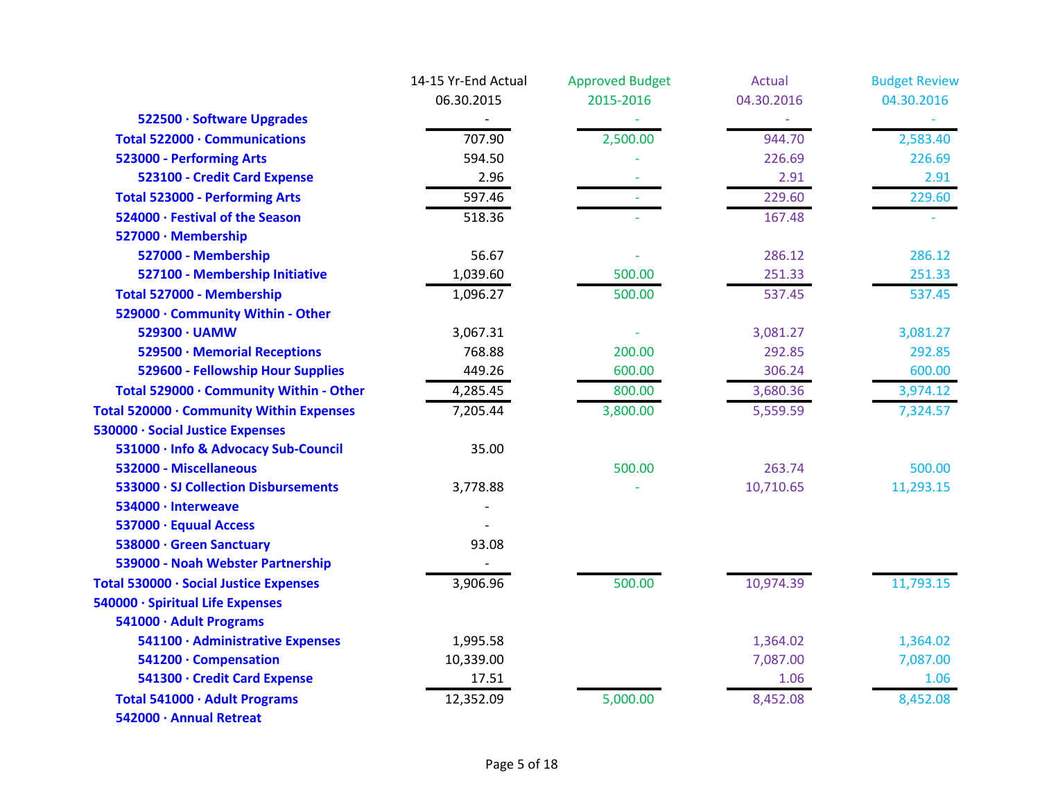|                                          | 14-15 Yr-End Actual | <b>Approved Budget</b> | <b>Actual</b> | <b>Budget Review</b> |
|------------------------------------------|---------------------|------------------------|---------------|----------------------|
|                                          | 06.30.2015          | 2015-2016              | 04.30.2016    | 04.30.2016           |
| 522500 · Software Upgrades               |                     |                        |               |                      |
| Total 522000 · Communications            | 707.90              | 2,500.00               | 944.70        | 2,583.40             |
| 523000 - Performing Arts                 | 594.50              |                        | 226.69        | 226.69               |
| 523100 - Credit Card Expense             | 2.96                |                        | 2.91          | 2.91                 |
| <b>Total 523000 - Performing Arts</b>    | 597.46              |                        | 229.60        | 229.60               |
| 524000 · Festival of the Season          | 518.36              |                        | 167.48        |                      |
| 527000 · Membership                      |                     |                        |               |                      |
| 527000 - Membership                      | 56.67               |                        | 286.12        | 286.12               |
| 527100 - Membership Initiative           | 1,039.60            | 500.00                 | 251.33        | 251.33               |
| Total 527000 - Membership                | 1,096.27            | 500.00                 | 537.45        | 537.45               |
| 529000 · Community Within - Other        |                     |                        |               |                      |
| 529300 · UAMW                            | 3,067.31            |                        | 3,081.27      | 3,081.27             |
| 529500 · Memorial Receptions             | 768.88              | 200.00                 | 292.85        | 292.85               |
| 529600 - Fellowship Hour Supplies        | 449.26              | 600.00                 | 306.24        | 600.00               |
| Total 529000 · Community Within - Other  | 4,285.45            | 800.00                 | 3,680.36      | 3,974.12             |
| Total 520000 · Community Within Expenses | 7,205.44            | 3,800.00               | 5,559.59      | 7,324.57             |
| 530000 · Social Justice Expenses         |                     |                        |               |                      |
| 531000 · Info & Advocacy Sub-Council     | 35.00               |                        |               |                      |
| 532000 - Miscellaneous                   |                     | 500.00                 | 263.74        | 500.00               |
| 533000 · SJ Collection Disbursements     | 3,778.88            |                        | 10,710.65     | 11,293.15            |
| 534000 · Interweave                      |                     |                        |               |                      |
| 537000 · Equual Access                   |                     |                        |               |                      |
| 538000 · Green Sanctuary                 | 93.08               |                        |               |                      |
| 539000 - Noah Webster Partnership        |                     |                        |               |                      |
| Total 530000 · Social Justice Expenses   | 3,906.96            | 500.00                 | 10,974.39     | 11,793.15            |
| 540000 · Spiritual Life Expenses         |                     |                        |               |                      |
| 541000 · Adult Programs                  |                     |                        |               |                      |
| 541100 · Administrative Expenses         | 1,995.58            |                        | 1,364.02      | 1,364.02             |
| 541200 · Compensation                    | 10,339.00           |                        | 7,087.00      | 7,087.00             |
| 541300 · Credit Card Expense             | 17.51               |                        | 1.06          | 1.06                 |
| Total 541000 · Adult Programs            | 12,352.09           | 5,000.00               | 8,452.08      | 8,452.08             |
| 542000 · Annual Retreat                  |                     |                        |               |                      |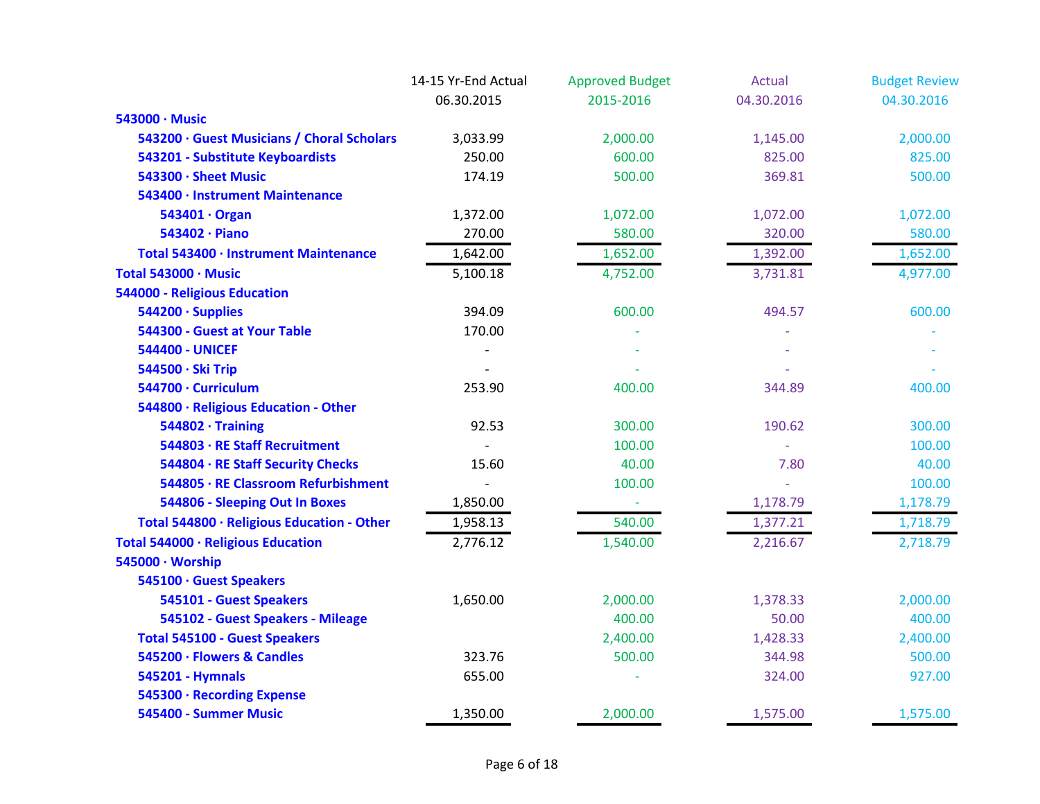|                                            | 14-15 Yr-End Actual | <b>Approved Budget</b> | Actual     | <b>Budget Review</b> |
|--------------------------------------------|---------------------|------------------------|------------|----------------------|
|                                            | 06.30.2015          | 2015-2016              | 04.30.2016 | 04.30.2016           |
| 543000 · Music                             |                     |                        |            |                      |
| 543200 · Guest Musicians / Choral Scholars | 3,033.99            | 2,000.00               | 1,145.00   | 2,000.00             |
| 543201 - Substitute Keyboardists           | 250.00              | 600.00                 | 825.00     | 825.00               |
| 543300 · Sheet Music                       | 174.19              | 500.00                 | 369.81     | 500.00               |
| 543400 · Instrument Maintenance            |                     |                        |            |                      |
| 543401 · Organ                             | 1,372.00            | 1,072.00               | 1,072.00   | 1,072.00             |
| 543402 · Piano                             | 270.00              | 580.00                 | 320.00     | 580.00               |
| Total 543400 · Instrument Maintenance      | 1,642.00            | 1,652.00               | 1,392.00   | 1,652.00             |
| Total 543000 · Music                       | 5,100.18            | 4,752.00               | 3,731.81   | 4,977.00             |
| 544000 - Religious Education               |                     |                        |            |                      |
| 544200 · Supplies                          | 394.09              | 600.00                 | 494.57     | 600.00               |
| 544300 - Guest at Your Table               | 170.00              |                        |            |                      |
| <b>544400 - UNICEF</b>                     |                     |                        |            |                      |
| 544500 · Ski Trip                          |                     |                        |            |                      |
| 544700 · Curriculum                        | 253.90              | 400.00                 | 344.89     | 400.00               |
| 544800 · Religious Education - Other       |                     |                        |            |                      |
| 544802 · Training                          | 92.53               | 300.00                 | 190.62     | 300.00               |
| 544803 · RE Staff Recruitment              | $\overline{a}$      | 100.00                 |            | 100.00               |
| 544804 · RE Staff Security Checks          | 15.60               | 40.00                  | 7.80       | 40.00                |
| 544805 · RE Classroom Refurbishment        |                     | 100.00                 |            | 100.00               |
| 544806 - Sleeping Out In Boxes             | 1,850.00            | $\rightarrow$          | 1,178.79   | 1,178.79             |
| Total 544800 · Religious Education - Other | 1,958.13            | 540.00                 | 1,377.21   | 1,718.79             |
| Total 544000 · Religious Education         | 2,776.12            | 1,540.00               | 2,216.67   | 2,718.79             |
| 545000 · Worship                           |                     |                        |            |                      |
| 545100 · Guest Speakers                    |                     |                        |            |                      |
| 545101 - Guest Speakers                    | 1,650.00            | 2,000.00               | 1,378.33   | 2,000.00             |
| 545102 - Guest Speakers - Mileage          |                     | 400.00                 | 50.00      | 400.00               |
| <b>Total 545100 - Guest Speakers</b>       |                     | 2,400.00               | 1,428.33   | 2,400.00             |
| 545200 · Flowers & Candles                 | 323.76              | 500.00                 | 344.98     | 500.00               |
| 545201 - Hymnals                           | 655.00              |                        | 324.00     | 927.00               |
| 545300 · Recording Expense                 |                     |                        |            |                      |
| 545400 - Summer Music                      | 1,350.00            | 2,000.00               | 1,575.00   | 1,575.00             |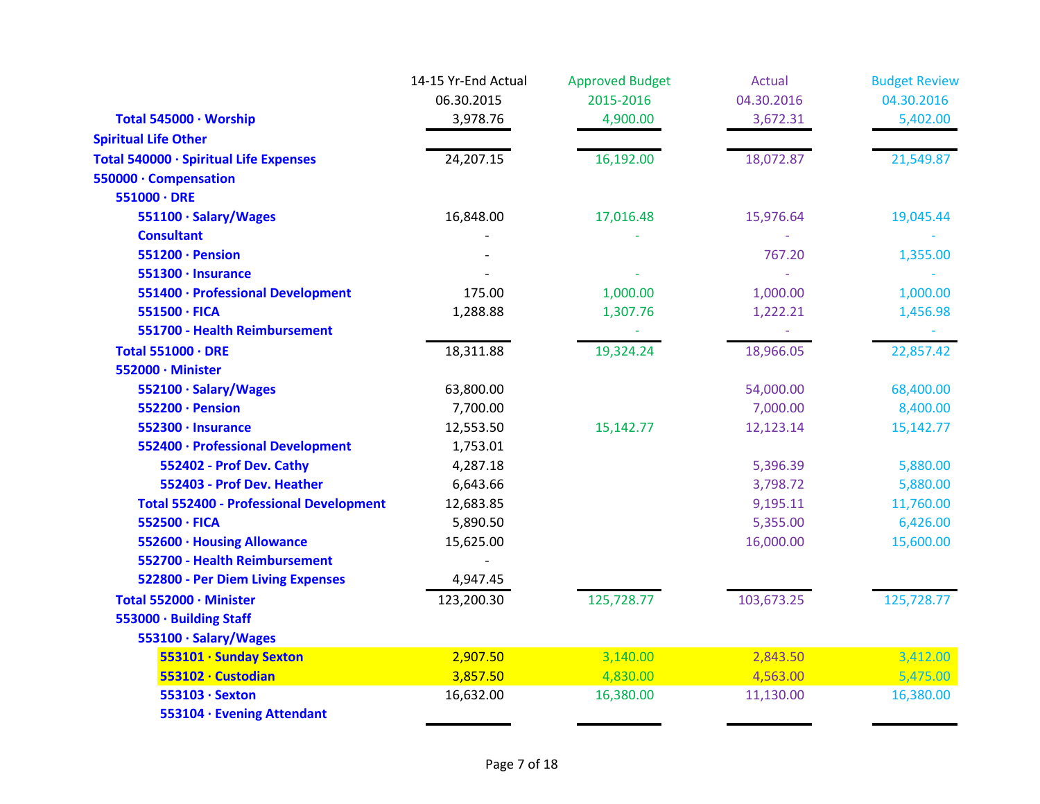|                                                | 14-15 Yr-End Actual | <b>Approved Budget</b> | <b>Actual</b> | <b>Budget Review</b> |
|------------------------------------------------|---------------------|------------------------|---------------|----------------------|
|                                                | 06.30.2015          | 2015-2016              | 04.30.2016    | 04.30.2016           |
| Total 545000 · Worship                         | 3,978.76            | 4,900.00               | 3,672.31      | 5,402.00             |
| <b>Spiritual Life Other</b>                    |                     |                        |               |                      |
| Total 540000 · Spiritual Life Expenses         | 24,207.15           | 16,192.00              | 18,072.87     | 21,549.87            |
| 550000 · Compensation                          |                     |                        |               |                      |
| $551000 \cdot DRE$                             |                     |                        |               |                      |
| 551100 · Salary/Wages                          | 16,848.00           | 17,016.48              | 15,976.64     | 19,045.44            |
| <b>Consultant</b>                              |                     |                        |               |                      |
| 551200 · Pension                               |                     |                        | 767.20        | 1,355.00             |
| 551300 · Insurance                             |                     |                        |               |                      |
| 551400 · Professional Development              | 175.00              | 1,000.00               | 1,000.00      | 1,000.00             |
| 551500 · FICA                                  | 1,288.88            | 1,307.76               | 1,222.21      | 1,456.98             |
| 551700 - Health Reimbursement                  |                     |                        |               |                      |
| <b>Total 551000 · DRE</b>                      | 18,311.88           | 19,324.24              | 18,966.05     | 22,857.42            |
| 552000 · Minister                              |                     |                        |               |                      |
| 552100 · Salary/Wages                          | 63,800.00           |                        | 54,000.00     | 68,400.00            |
| 552200 · Pension                               | 7,700.00            |                        | 7,000.00      | 8,400.00             |
| 552300 · Insurance                             | 12,553.50           | 15,142.77              | 12,123.14     | 15,142.77            |
| 552400 · Professional Development              | 1,753.01            |                        |               |                      |
| 552402 - Prof Dev. Cathy                       | 4,287.18            |                        | 5,396.39      | 5,880.00             |
| 552403 - Prof Dev. Heather                     | 6,643.66            |                        | 3,798.72      | 5,880.00             |
| <b>Total 552400 - Professional Development</b> | 12,683.85           |                        | 9,195.11      | 11,760.00            |
| 552500 · FICA                                  | 5,890.50            |                        | 5,355.00      | 6,426.00             |
| 552600 · Housing Allowance                     | 15,625.00           |                        | 16,000.00     | 15,600.00            |
| 552700 - Health Reimbursement                  |                     |                        |               |                      |
| 522800 - Per Diem Living Expenses              | 4,947.45            |                        |               |                      |
| Total 552000 · Minister                        | 123,200.30          | 125,728.77             | 103,673.25    | 125,728.77           |
| 553000 · Building Staff                        |                     |                        |               |                      |
| 553100 · Salary/Wages                          |                     |                        |               |                      |
| 553101 · Sunday Sexton                         | 2,907.50            | 3,140.00               | 2,843.50      | 3,412.00             |
| 553102 · Custodian                             | 3,857.50            | 4,830.00               | 4,563.00      | 5,475.00             |
| 553103 · Sexton                                | 16,632.00           | 16,380.00              | 11,130.00     | 16,380.00            |
| 553104 · Evening Attendant                     |                     |                        |               |                      |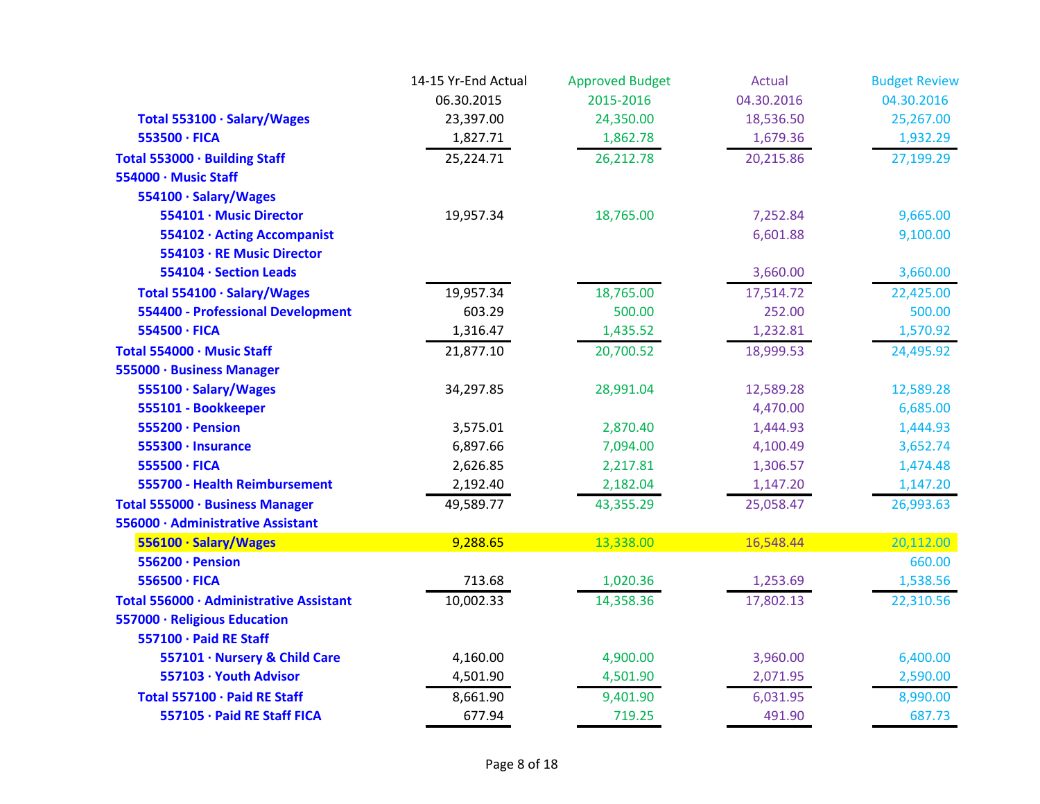|                                         | 14-15 Yr-End Actual | <b>Approved Budget</b> | <b>Actual</b> | <b>Budget Review</b> |
|-----------------------------------------|---------------------|------------------------|---------------|----------------------|
|                                         | 06.30.2015          | 2015-2016              | 04.30.2016    | 04.30.2016           |
| Total 553100 · Salary/Wages             | 23,397.00           | 24,350.00              | 18,536.50     | 25,267.00            |
| 553500 · FICA                           | 1,827.71            | 1,862.78               | 1,679.36      | 1,932.29             |
| Total 553000 · Building Staff           | 25,224.71           | 26,212.78              | 20,215.86     | 27,199.29            |
| 554000 · Music Staff                    |                     |                        |               |                      |
| 554100 · Salary/Wages                   |                     |                        |               |                      |
| 554101 · Music Director                 | 19,957.34           | 18,765.00              | 7,252.84      | 9,665.00             |
| 554102 · Acting Accompanist             |                     |                        | 6,601.88      | 9,100.00             |
| 554103 · RE Music Director              |                     |                        |               |                      |
| 554104 · Section Leads                  |                     |                        | 3,660.00      | 3,660.00             |
| Total 554100 · Salary/Wages             | 19,957.34           | 18,765.00              | 17,514.72     | 22,425.00            |
| 554400 - Professional Development       | 603.29              | 500.00                 | 252.00        | 500.00               |
| 554500 · FICA                           | 1,316.47            | 1,435.52               | 1,232.81      | 1,570.92             |
| Total 554000 · Music Staff              | 21,877.10           | 20,700.52              | 18,999.53     | 24,495.92            |
| 555000 · Business Manager               |                     |                        |               |                      |
| 555100 · Salary/Wages                   | 34,297.85           | 28,991.04              | 12,589.28     | 12,589.28            |
| 555101 - Bookkeeper                     |                     |                        | 4,470.00      | 6,685.00             |
| 555200 · Pension                        | 3,575.01            | 2,870.40               | 1,444.93      | 1,444.93             |
| 555300 · Insurance                      | 6,897.66            | 7,094.00               | 4,100.49      | 3,652.74             |
| 555500 · FICA                           | 2,626.85            | 2,217.81               | 1,306.57      | 1,474.48             |
| 555700 - Health Reimbursement           | 2,192.40            | 2,182.04               | 1,147.20      | 1,147.20             |
| Total 555000 · Business Manager         | 49,589.77           | 43,355.29              | 25,058.47     | 26,993.63            |
| 556000 · Administrative Assistant       |                     |                        |               |                      |
| 556100 · Salary/Wages                   | 9,288.65            | 13,338.00              | 16,548.44     | 20,112.00            |
| 556200 · Pension                        |                     |                        |               | 660.00               |
| 556500 · FICA                           | 713.68              | 1,020.36               | 1,253.69      | 1,538.56             |
| Total 556000 · Administrative Assistant | 10,002.33           | 14,358.36              | 17,802.13     | 22,310.56            |
| 557000 · Religious Education            |                     |                        |               |                      |
| 557100 · Paid RE Staff                  |                     |                        |               |                      |
| 557101 · Nursery & Child Care           | 4,160.00            | 4,900.00               | 3,960.00      | 6,400.00             |
| 557103 · Youth Advisor                  | 4,501.90            | 4,501.90               | 2,071.95      | 2,590.00             |
| Total 557100 · Paid RE Staff            | 8,661.90            | 9,401.90               | 6,031.95      | 8,990.00             |
| 557105 · Paid RE Staff FICA             | 677.94              | 719.25                 | 491.90        | 687.73               |